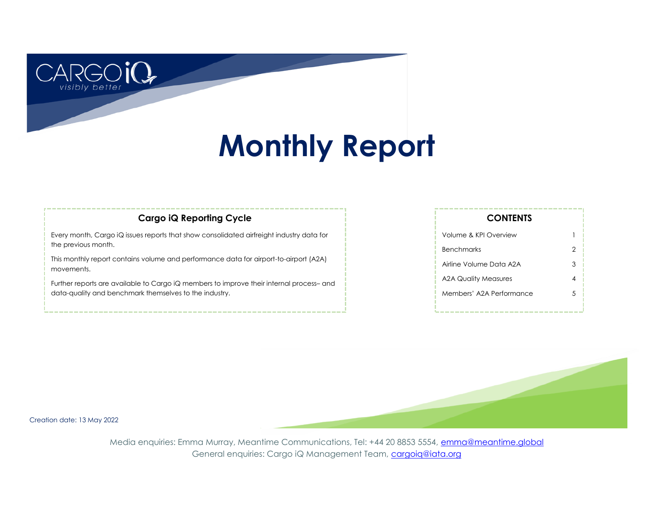# **Monthly Report**

## **Cargo iQ Reporting Cycle**

Every month, Cargo iQ issues reports that show consolidated airfreight industry data for the previous month.

This monthly report contains volume and performance data for airport-to-airport (A2A) movements.

Further reports are available to Cargo iQ members to improve their internal process– and data-quality and benchmark themselves to the industry.

| Volume & KPI Overview    |   |
|--------------------------|---|
| <b>Benchmarks</b>        | 2 |
| Airline Volume Data A2A  | 3 |
| A2A Quality Measures     |   |
| Members' A2A Performance | 5 |
|                          |   |

**CONTENTS**

Creation date: 13 May 2022

better

Media enquiries: Emma Murray, Meantime Communications, Tel: +44 20 8853 5554, [emma@meantime.global](mailto:emma@meantimecomms.com?subject=Cargo%20iQ%20enquiry) General enquiries: Cargo iQ Management Team, [cargoiq@iata.org](mailto:cargoiq@iata.org?subject=Monthly%20report%20enquiry)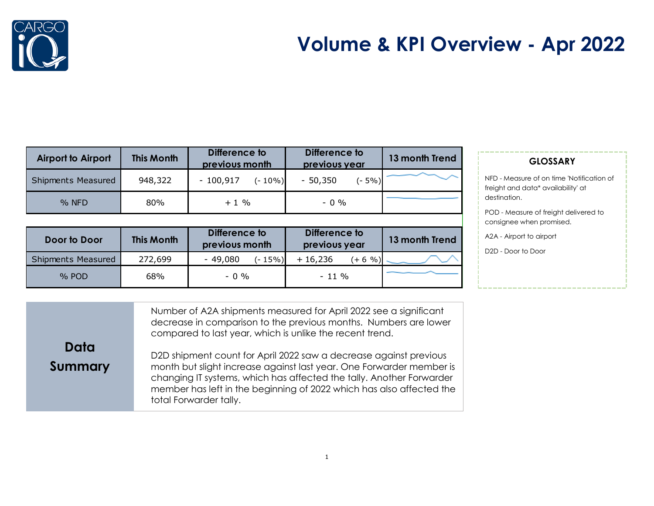



| <b>Airport to Airport</b> | <b>This Month</b> | Difference to<br>Difference to<br>previous month<br>previous year |                     | 13 month Trend |
|---------------------------|-------------------|-------------------------------------------------------------------|---------------------|----------------|
| <b>Shipments Measured</b> | 948,322           | $-100,917$<br>$(-10\%)$                                           | $(-5%)$<br>- 50,350 |                |
| $%$ NFD                   | 80%               | $+1\%$                                                            | $-0.96$             |                |

| Door to Door              | <b>This Month</b> | Difference to<br>Difference to<br>previous year<br>previous month |                          | 13 month Trend |
|---------------------------|-------------------|-------------------------------------------------------------------|--------------------------|----------------|
| <b>Shipments Measured</b> | 272,699           | $-49,080$<br>$(-15%)$                                             | $+16,236$<br>$(+ 6 \%)]$ |                |
| $%$ POD                   | 68%               | $-0.96$                                                           | $-11\%$                  |                |

### **GLOSSARY**

NFD - Measure of on time 'Notification of freight and data\* availability' at destination.

POD - Measure of freight delivered to consignee when promised.

A2A - Airport to airport

D2D - Door to Door

**Data Summary** Number of A2A shipments measured for April 2022 see a significant decrease in comparison to the previous months. Numbers are lower compared to last year, which is unlike the recent trend. D2D shipment count for April 2022 saw a decrease against previous month but slight increase against last year. One Forwarder member is

changing IT systems, which has affected the tally. Another Forwarder member has left in the beginning of 2022 which has also affected the total Forwarder tally.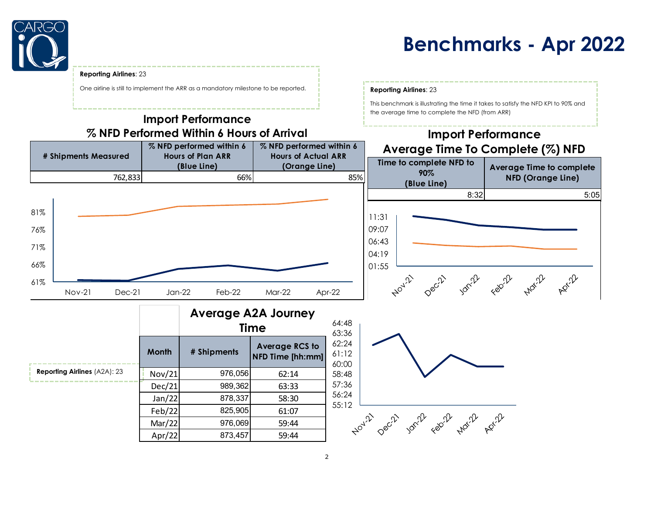

## **Benchmarks - Apr 2022**

This benchmark is illustrating the time it takes to satisfy the NFD KPI to 90% and

the average time to complete the NFD (from ARR)

#### **Reporting Airlines**: 23

One airline is still to implement the ARR as a mandatory milestone to be reported. **Reporting Airlines**: 23

## **Import Performance % NFD Performed Within 6 Hours of Arrival**

#### **Import Performance % NFD performed within 6 % NFD performed within 6 Average Time To Complete (%) NFD # Shipments Measured Hours of Plan ARR Hours of Actual ARR Time to complete NFD to (Blue Line) (Orange Line) Average Time to complete 90% NFD (Orange Line)** 762,833 66% 85% **(Blue Line)** 8:32 5:05 81%11:31 09:07 76% 06:43 71% 04:19 66% 01:55 ADY 72 Jonil February 61% Nov-21 Dec-21 Jan-22 Feb-22 Mar-22 Apr-22

|                                     |              | <b>Average A2A Journey</b><br><b>Time</b> |                                           |  |  |
|-------------------------------------|--------------|-------------------------------------------|-------------------------------------------|--|--|
|                                     | <b>Month</b> | # Shipments                               | <b>Average RCS to</b><br>NFD Time [hh:mm] |  |  |
| <b>Reporting Airlines (A2A): 23</b> | Nov/21       | 976,056                                   | 62:14                                     |  |  |
|                                     | Dec/21       | 989,362                                   | 63:33                                     |  |  |
|                                     | Jan/22       | 878,337                                   | 58:30                                     |  |  |
|                                     | Feb/22       | 825,905                                   | 61:07                                     |  |  |
|                                     | Mar/22       | 976,069                                   | 59:44                                     |  |  |
|                                     | Apr/22       | 873,457                                   | 59:44                                     |  |  |

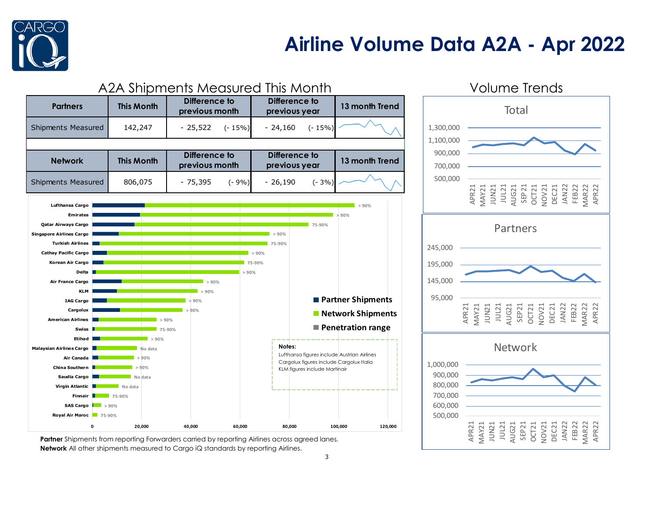

## **Airline Volume Data A2A - Apr 2022**



**Partner** Shipments from reporting Forwarders carried by reporting Airlines across agreed lanes. **Network** All other shipments measured to Cargo iQ standards by reporting Airlines.

# **Total**

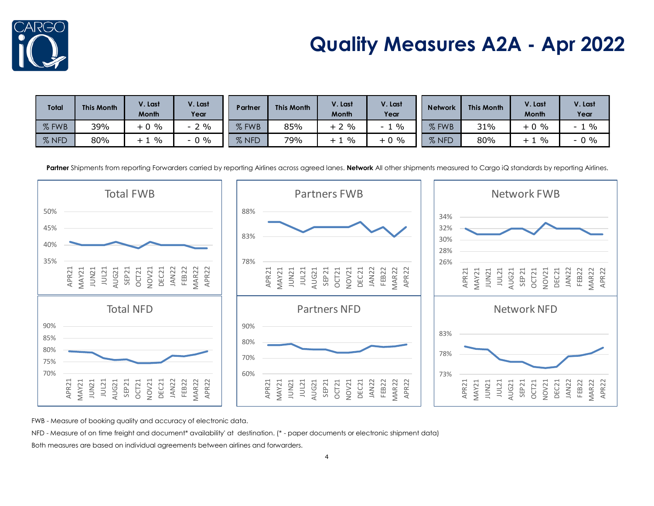

# **Quality Measures A2A - Apr 2022**

| <b>Total</b> | <b>This Month</b> | V. Last<br>Month      | V. Last<br>Year | Partner                | <b>This Month</b> | V. Last<br><b>Month</b> | V. Last<br>Year    | <b>Network</b>    | <b>This Month</b> | V. Last<br><b>Month</b> | /. Last<br>Year                  |
|--------------|-------------------|-----------------------|-----------------|------------------------|-------------------|-------------------------|--------------------|-------------------|-------------------|-------------------------|----------------------------------|
| $%$ FWB      | 39%               | $0\%$                 | $\%$            | FWB<br>07              | 85%               | $2\%$                   | $\frac{0}{0}$<br>- | % FWB             | 31%               | $\%$<br>$+0$            | $\%$<br>$\overline{\phantom{0}}$ |
| % NFD        | 80%               | $\%$<br>+<br><b>.</b> | $\%$<br>- U     | <b>NFD</b><br>$\sigma$ | 79%               | $\frac{0}{0}$<br>ᅩ      | $+0\%$             | $\sigma$<br>% NFD | 80%               | $\%$                    | $-0\%$                           |

Partner Shipments from reporting Forwarders carried by reporting Airlines across agreed lanes. Network All other shipments measured to Cargo iQ standards by reporting Airlines.



FWB - Measure of booking quality and accuracy of electronic data.

NFD - Measure of on time freight and document\* availability' at destination. (\* - paper documents or electronic shipment data)

Both measures are based on individual agreements between airlines and forwarders.